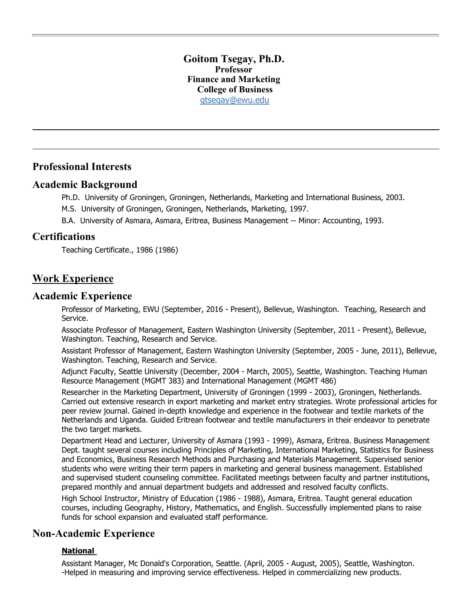### **Goitom Tsegay, Ph.D. Professor Finance and Marketing College of Business** [gtsegay@ewu.edu](mailto:gtsegay@ewu.edu)

## **Professional Interests**

## **Academic Background**

Ph.D. University of Groningen, Groningen, Netherlands, Marketing and International Business, 2003.

M.S. University of Groningen, Groningen, Netherlands, Marketing, 1997.

B.A. University of Asmara, Asmara, Eritrea, Business Management -- Minor: Accounting, 1993.

# **Certifications**

Teaching Certificate., 1986 (1986)

# **Work Experience**

### **Academic Experience**

Professor of Marketing, EWU (September, 2016 - Present), Bellevue, Washington. Teaching, Research and Service.

Associate Professor of Management, Eastern Washington University (September, 2011 - Present), Bellevue, Washington. Teaching, Research and Service.

Assistant Professor of Management, Eastern Washington University (September, 2005 - June, 2011), Bellevue, Washington. Teaching, Research and Service.

Adjunct Faculty, Seattle University (December, 2004 - March, 2005), Seattle, Washington. Teaching Human Resource Management (MGMT 383) and International Management (MGMT 486)

Researcher in the Marketing Department, University of Groningen (1999 - 2003), Groningen, Netherlands. Carried out extensive research in export marketing and market entry strategies. Wrote professional articles for peer review journal. Gained in-depth knowledge and experience in the footwear and textile markets of the Netherlands and Uganda. Guided Eritrean footwear and textile manufacturers in their endeavor to penetrate the two target markets.

Department Head and Lecturer, University of Asmara (1993 - 1999), Asmara, Eritrea. Business Management Dept. taught several courses including Principles of Marketing, International Marketing, Statistics for Business and Economics, Business Research Methods and Purchasing and Materials Management. Supervised senior students who were writing their term papers in marketing and general business management. Established and supervised student counseling committee. Facilitated meetings between faculty and partner institutions, prepared monthly and annual department budgets and addressed and resolved faculty conflicts.

High School Instructor, Ministry of Education (1986 - 1988), Asmara, Eritrea. Taught general education courses, including Geography, History, Mathematics, and English. Successfully implemented plans to raise funds for school expansion and evaluated staff performance.

## **Non-Academic Experience**

### **National**

Assistant Manager, Mc Donald's Corporation, Seattle. (April, 2005 - August, 2005), Seattle, Washington. -Helped in measuring and improving service effectiveness. Helped in commercializing new products.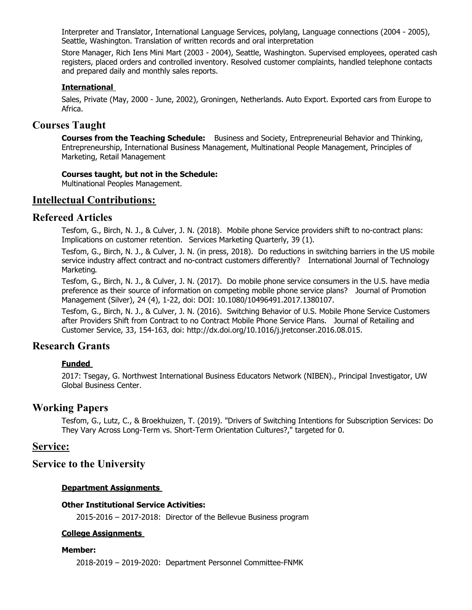Interpreter and Translator, International Language Services, polylang, Language connections (2004 - 2005), Seattle, Washington. Translation of written records and oral interpretation

Store Manager, Rich Iens Mini Mart (2003 - 2004), Seattle, Washington. Supervised employees, operated cash registers, placed orders and controlled inventory. Resolved customer complaints, handled telephone contacts and prepared daily and monthly sales reports.

#### **International**

Sales, Private (May, 2000 - June, 2002), Groningen, Netherlands. Auto Export. Exported cars from Europe to Africa.

## **Courses Taught**

**Courses from the Teaching Schedule:** Business and Society, Entrepreneurial Behavior and Thinking, Entrepreneurship, International Business Management, Multinational People Management, Principles of Marketing, Retail Management

#### **Courses taught, but not in the Schedule:**

Multinational Peoples Management.

## **Intellectual Contributions:**

## **Refereed Articles**

Tesfom, G., Birch, N. J., & Culver, J. N. (2018). Mobile phone Service providers shift to no-contract plans: Implications on customer retention. Services Marketing Quarterly, 39 (1).

Tesfom, G., Birch, N. J., & Culver, J. N. (in press, 2018). Do reductions in switching barriers in the US mobile service industry affect contract and no-contract customers differently? International Journal of Technology Marketing.

Tesfom, G., Birch, N. J., & Culver, J. N. (2017). Do mobile phone service consumers in the U.S. have media preference as their source of information on competing mobile phone service plans? Journal of Promotion Management (Silver), 24 (4), 1-22, doi: DOI: 10.1080/10496491.2017.1380107.

Tesfom, G., Birch, N. J., & Culver, J. N. (2016). Switching Behavior of U.S. Mobile Phone Service Customers after Providers Shift from Contract to no Contract Mobile Phone Service Plans. Journal of Retailing and Customer Service, 33, 154-163, doi: http://dx.doi.org/10.1016/j.jretconser.2016.08.015.

# **Research Grants**

#### **Funded**

2017: Tsegay, G. Northwest International Business Educators Network (NIBEN)., Principal Investigator, UW Global Business Center.

### **Working Papers**

Tesfom, G., Lutz, C., & Broekhuizen, T. (2019). "Drivers of Switching Intentions for Subscription Services: Do They Vary Across Long-Term vs. Short-Term Orientation Cultures?," targeted for 0.

## **Service:**

## **Service to the University**

#### **Department Assignments**

#### **Other Institutional Service Activities:**

2015-2016 – 2017-2018: Director of the Bellevue Business program

#### **College Assignments**

#### **Member:**

2018-2019 – 2019-2020: Department Personnel Committee-FNMK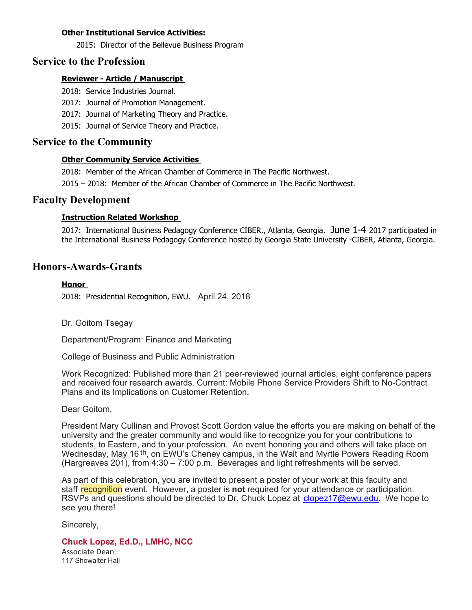#### **Other Institutional Service Activities:**

2015: Director of the Bellevue Business Program

## **Service to the Profession**

#### **Reviewer - Article / Manuscript**

2018: Service Industries Journal.

- 2017: Journal of Promotion Management.
- 2017: Journal of Marketing Theory and Practice.
- 2015: Journal of Service Theory and Practice.

## **Service to the Community**

#### **Other Community Service Activities**

2018: Member of the African Chamber of Commerce in The Pacific Northwest.

2015 – 2018: Member of the African Chamber of Commerce in The Pacific Northwest.

## **Faculty Development**

#### **Instruction Related Workshop**

2017: International Business Pedagogy Conference CIBER., Atlanta, Georgia. June 1-4 2017 participated in the International Business Pedagogy Conference hosted by Georgia State University -CIBER, Atlanta, Georgia.

## **Honors-Awards-Grants**

#### **Honor**

2018: Presidential Recognition, EWU. April 24, 2018

Dr. Goitom Tsegay

Department/Program: Finance and Marketing

College of Business and Public Administration

Work Recognized: Published more than 21 peer-reviewed journal articles, eight conference papers and received four research awards. Current: Mobile Phone Service Providers Shift to No-Contract Plans and its Implications on Customer Retention.

Dear Goitom,

President Mary Cullinan and Provost Scott Gordon value the efforts you are making on behalf of the university and the greater community and would like to recognize you for your contributions to students, to Eastern, and to your profession. An event honoring you and others will take place on Wednesday, May 16 th, on EWU's Cheney campus, in the Walt and Myrtle Powers Reading Room (Hargreaves 201), from 4:30 – 7:00 p.m. Beverages and light refreshments will be served.

As part of this celebration, you are invited to present a poster of your work at this faculty and staff recognition event. However, a poster is **not** required for your attendance or participation. RSVPs and questions should be directed to Dr. Chuck Lopez at [clopez17@ewu.edu](mailto:clopez17@ewu.edu). We hope to see you there!

Sincerely,

### **Chuck Lopez, Ed.D., LMHC, NCC**

Associate Dean 117 Showalter Hall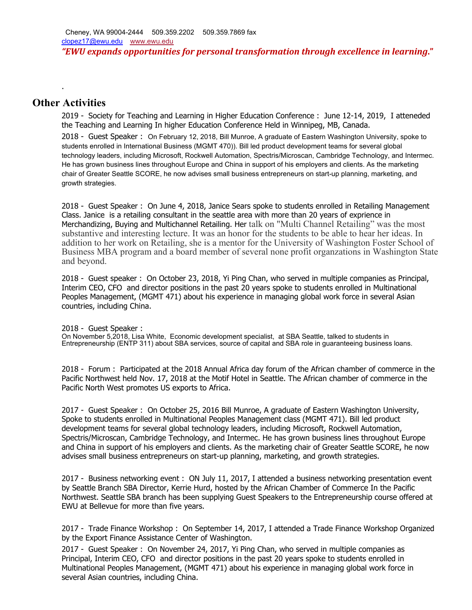# **Other Activities**

.

2019 - Society for Teaching and Learning in Higher Education Conference : June 12-14, 2019, I atteneded the Teaching and Learning In higher Education Conference Held in Winnipeg, MB, Canada.

2018 - Guest Speaker : On February 12, 2018, Bill Munroe, A graduate of Eastern Washington University, spoke to students enrolled in International Business (MGMT 470)). Bill led product development teams for several global technology leaders, including Microsoft, Rockwell Automation, Spectris/Microscan, Cambridge Technology, and Intermec. He has grown business lines throughout Europe and China in support of his employers and clients. As the marketing chair of Greater Seattle SCORE, he now advises small business entrepreneurs on start-up planning, marketing, and growth strategies.

2018 - Guest Speaker : On June 4, 2018, Janice Sears spoke to students enrolled in Retailing Management Class. Janice is a retailing consultant in the seattle area with more than 20 years of exprience in Merchandizing, Buying and Multichannel Retailing. Her talk on "Multi Channel Retailing" was the most substantive and interesting lecture. It was an honor for the students to be able to hear her ideas. In addition to her work on Retailing, she is a mentor for the University of Washington Foster School of Business MBA program and a board member of several none profit organzations in Washington State and beyond.

2018 - Guest speaker : On October 23, 2018, Yi Ping Chan, who served in multiple companies as Principal, Interim CEO, CFO and director positions in the past 20 years spoke to students enrolled in Multinational Peoples Management, (MGMT 471) about his experience in managing global work force in several Asian countries, including China.

2018 - Guest Speaker :

On November 5,2018, Lisa White, Economic development specialist, at SBA Seattle, talked to students in Entrepreneurship (ENTP 311) about SBA services, source of capital and SBA role in guaranteeing business loans.

2018 - Forum : Participated at the 2018 Annual Africa day forum of the African chamber of commerce in the Pacific Northwest held Nov. 17, 2018 at the Motif Hotel in Seattle. The African chamber of commerce in the Pacific North West promotes US exports to Africa.

2017 - Guest Speaker : On October 25, 2016 Bill Munroe, A graduate of Eastern Washington University, Spoke to students enrolled in Multinational Peoples Management class (MGMT 471). Bill led product development teams for several global technology leaders, including Microsoft, Rockwell Automation, Spectris/Microscan, Cambridge Technology, and Intermec. He has grown business lines throughout Europe and China in support of his employers and clients. As the marketing chair of Greater Seattle SCORE, he now advises small business entrepreneurs on start-up planning, marketing, and growth strategies.

2017 - Business networking event : ON July 11, 2017, I attended a business networking presentation event by Seattle Branch SBA Director, Kerrie Hurd, hosted by the African Chamber of Commerce In the Pacific Northwest. Seattle SBA branch has been supplying Guest Speakers to the Entrepreneurship course offered at EWU at Bellevue for more than five years.

2017 - Trade Finance Workshop : On September 14, 2017, I attended a Trade Finance Workshop Organized by the Export Finance Assistance Center of Washington.

2017 - Guest Speaker : On November 24, 2017, Yi Ping Chan, who served in multiple companies as Principal, Interim CEO, CFO and director positions in the past 20 years spoke to students enrolled in Multinational Peoples Management, (MGMT 471) about his experience in managing global work force in several Asian countries, including China.